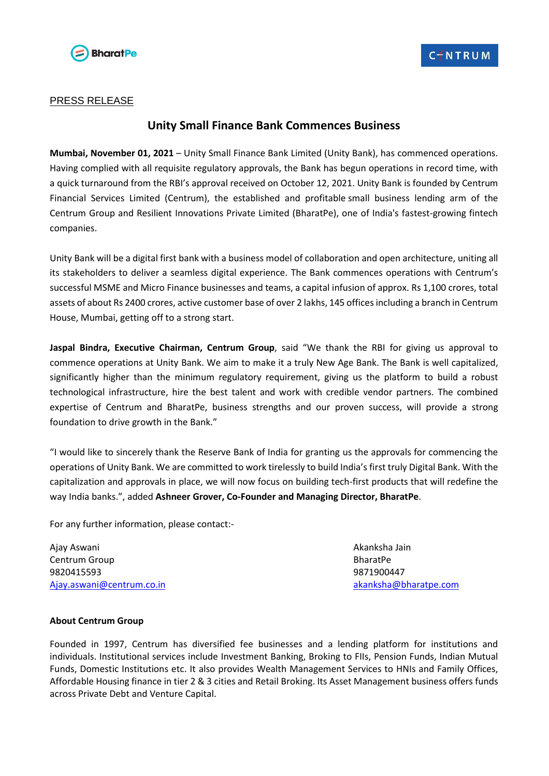

## PRESS RELEASE

## **Unity Small Finance Bank Commences Business**

**Mumbai, November 01, 2021** – Unity Small Finance Bank Limited (Unity Bank), has commenced operations. Having complied with all requisite regulatory approvals, the Bank has begun operations in record time, with a quick turnaround from the RBI's approval received on October 12, 2021. Unity Bank is founded by Centrum Financial Services Limited (Centrum), the established and profitable small business lending arm of the Centrum Group and Resilient Innovations Private Limited (BharatPe), one of India's fastest-growing fintech companies.

Unity Bank will be a digital first bank with a business model of collaboration and open architecture, uniting all its stakeholders to deliver a seamless digital experience. The Bank commences operations with Centrum's successful MSME and Micro Finance businesses and teams, a capital infusion of approx. Rs 1,100 crores, total assets of about Rs 2400 crores, active customer base of over 2 lakhs, 145 offices including a branch in Centrum House, Mumbai, getting off to a strong start.

**Jaspal Bindra, Executive Chairman, Centrum Group**, said "We thank the RBI for giving us approval to commence operations at Unity Bank. We aim to make it a truly New Age Bank. The Bank is well capitalized, significantly higher than the minimum regulatory requirement, giving us the platform to build a robust technological infrastructure, hire the best talent and work with credible vendor partners. The combined expertise of Centrum and BharatPe, business strengths and our proven success, will provide a strong foundation to drive growth in the Bank."

"I would like to sincerely thank the Reserve Bank of India for granting us the approvals for commencing the operations of Unity Bank. We are committed to work tirelessly to build India's first truly Digital Bank. With the capitalization and approvals in place, we will now focus on building tech-first products that will redefine the way India banks.", added **Ashneer Grover, Co-Founder and Managing Director, BharatPe**.

For any further information, please contact:-

Ajay Aswani Akanksha Jain Centrum Group **BharatPe** 9820415593 9871900447 [Ajay.aswani@centrum.co.in](mailto:Ajay.aswani@centrum.co.in) [akanksha@bharatpe.com](mailto:akanksha@bharatpe.com)

## **About Centrum Group**

Founded in 1997, Centrum has diversified fee businesses and a lending platform for institutions and individuals. Institutional services include Investment Banking, Broking to FIIs, Pension Funds, Indian Mutual Funds, Domestic Institutions etc. It also provides Wealth Management Services to HNIs and Family Offices, Affordable Housing finance in tier 2 & 3 cities and Retail Broking. Its Asset Management business offers funds across Private Debt and Venture Capital.